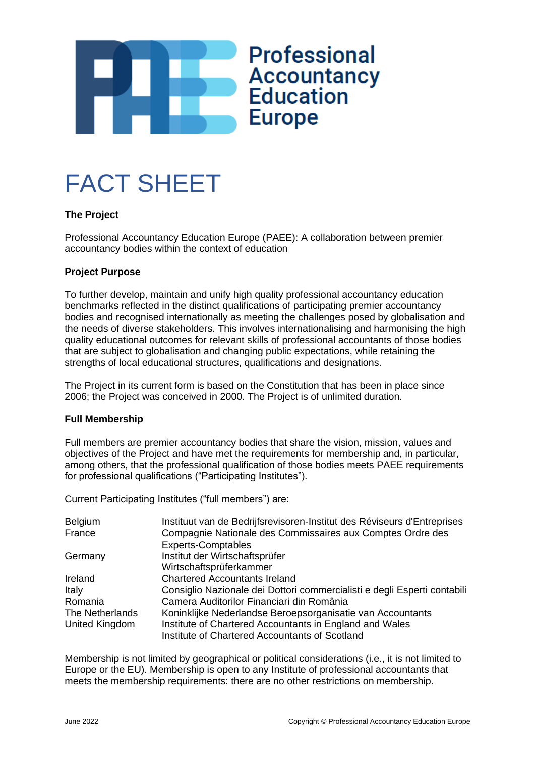



# **The Project**

Professional Accountancy Education Europe (PAEE): A collaboration between premier accountancy bodies within the context of education

## **Project Purpose**

To further develop, maintain and unify high quality professional accountancy education benchmarks reflected in the distinct qualifications of participating premier accountancy bodies and recognised internationally as meeting the challenges posed by globalisation and the needs of diverse stakeholders. This involves internationalising and harmonising the high quality educational outcomes for relevant skills of professional accountants of those bodies that are subject to globalisation and changing public expectations, while retaining the strengths of local educational structures, qualifications and designations.

The Project in its current form is based on the Constitution that has been in place since 2006; the Project was conceived in 2000. The Project is of unlimited duration.

#### **Full Membership**

Full members are premier accountancy bodies that share the vision, mission, values and objectives of the Project and have met the requirements for membership and, in particular, among others, that the professional qualification of those bodies meets PAEE requirements for professional qualifications ("Participating Institutes").

Current Participating Institutes ("full members") are:

| Belgium         | Instituut van de Bedrijfsrevisoren-Institut des Réviseurs d'Entreprises  |
|-----------------|--------------------------------------------------------------------------|
| France          | Compagnie Nationale des Commissaires aux Comptes Ordre des               |
|                 | <b>Experts-Comptables</b>                                                |
| Germany         | Institut der Wirtschaftsprüfer                                           |
|                 | Wirtschaftsprüferkammer                                                  |
| Ireland         | <b>Chartered Accountants Ireland</b>                                     |
| Italy           | Consiglio Nazionale dei Dottori commercialisti e degli Esperti contabili |
| Romania         | Camera Auditorilor Financiari din România                                |
| The Netherlands | Koninklijke Nederlandse Beroepsorganisatie van Accountants               |
| United Kingdom  | Institute of Chartered Accountants in England and Wales                  |
|                 | Institute of Chartered Accountants of Scotland                           |

Membership is not limited by geographical or political considerations (i.e., it is not limited to Europe or the EU). Membership is open to any Institute of professional accountants that meets the membership requirements: there are no other restrictions on membership.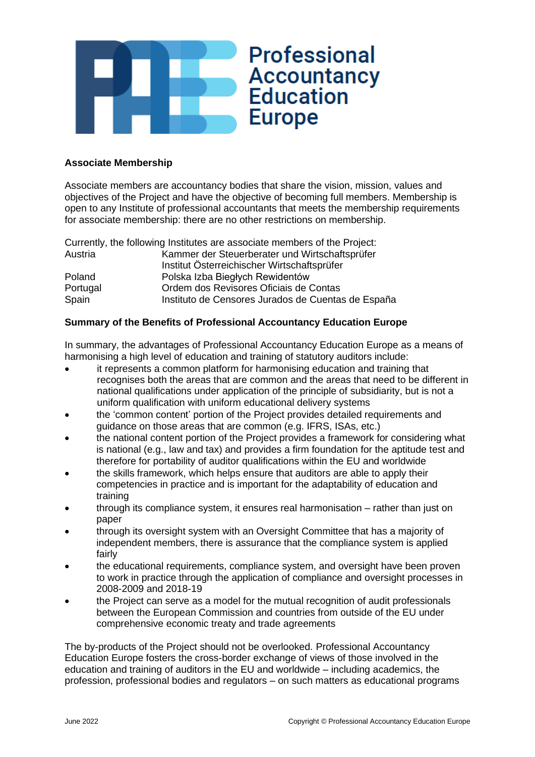

## **Associate Membership**

Associate members are accountancy bodies that share the vision, mission, values and objectives of the Project and have the objective of becoming full members. Membership is open to any Institute of professional accountants that meets the membership requirements for associate membership: there are no other restrictions on membership.

|          | Currently, the following Institutes are associate members of the Project: |
|----------|---------------------------------------------------------------------------|
| Austria  | Kammer der Steuerberater und Wirtschaftsprüfer                            |
|          | Institut Österreichischer Wirtschaftsprüfer                               |
| Poland   | Polska Izba Biegłych Rewidentów                                           |
| Portugal | Ordem dos Revisores Oficiais de Contas                                    |
| Spain    | Instituto de Censores Jurados de Cuentas de España                        |

# **Summary of the Benefits of Professional Accountancy Education Europe**

In summary, the advantages of Professional Accountancy Education Europe as a means of harmonising a high level of education and training of statutory auditors include:

- it represents a common platform for harmonising education and training that recognises both the areas that are common and the areas that need to be different in national qualifications under application of the principle of subsidiarity, but is not a uniform qualification with uniform educational delivery systems
- the 'common content' portion of the Project provides detailed requirements and guidance on those areas that are common (e.g. IFRS, ISAs, etc.)
- the national content portion of the Project provides a framework for considering what is national (e.g., law and tax) and provides a firm foundation for the aptitude test and therefore for portability of auditor qualifications within the EU and worldwide
- the skills framework, which helps ensure that auditors are able to apply their competencies in practice and is important for the adaptability of education and training
- through its compliance system, it ensures real harmonisation rather than just on paper
- through its oversight system with an Oversight Committee that has a majority of independent members, there is assurance that the compliance system is applied fairly
- the educational requirements, compliance system, and oversight have been proven to work in practice through the application of compliance and oversight processes in 2008-2009 and 2018-19
- the Project can serve as a model for the mutual recognition of audit professionals between the European Commission and countries from outside of the EU under comprehensive economic treaty and trade agreements

The by-products of the Project should not be overlooked. Professional Accountancy Education Europe fosters the cross-border exchange of views of those involved in the education and training of auditors in the EU and worldwide – including academics, the profession, professional bodies and regulators – on such matters as educational programs